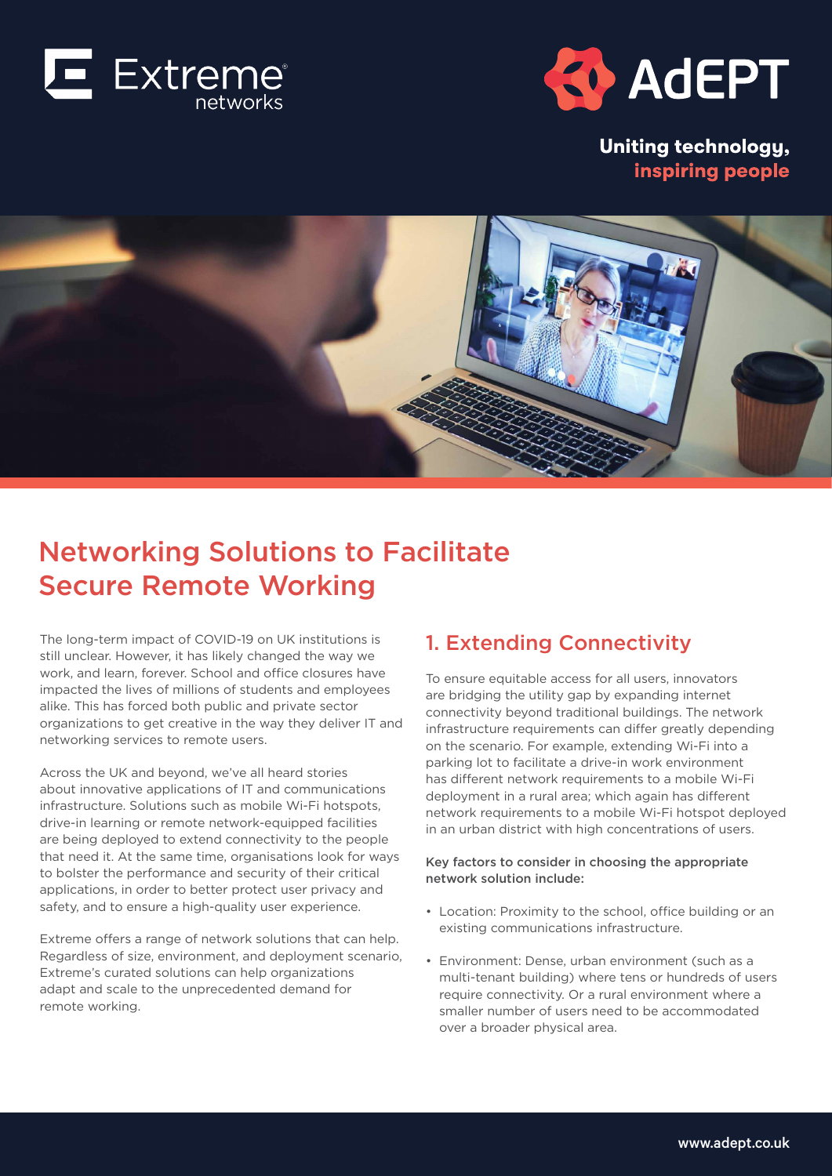



Uniting technology, inspiring people



## Networking Solutions to Facilitate Secure Remote Working

The long-term impact of COVID-19 on UK institutions is still unclear. However, it has likely changed the way we work, and learn, forever. School and office closures have impacted the lives of millions of students and employees alike. This has forced both public and private sector organizations to get creative in the way they deliver IT and networking services to remote users.

Across the UK and beyond, we've all heard stories about innovative applications of IT and communications infrastructure. Solutions such as mobile Wi-Fi hotspots, drive-in learning or remote network-equipped facilities are being deployed to extend connectivity to the people that need it. At the same time, organisations look for ways to bolster the performance and security of their critical applications, in order to better protect user privacy and safety, and to ensure a high-quality user experience.

Extreme offers a range of network solutions that can help. Regardless of size, environment, and deployment scenario, Extreme's curated solutions can help organizations adapt and scale to the unprecedented demand for remote working.

## **1. Extending Connectivity**

To ensure equitable access for all users, innovators are bridging the utility gap by expanding internet connectivity beyond traditional buildings. The network infrastructure requirements can differ greatly depending on the scenario. For example, extending Wi-Fi into a parking lot to facilitate a drive-in work environment has different network requirements to a mobile Wi-Fi deployment in a rural area; which again has different network requirements to a mobile Wi-Fi hotspot deployed in an urban district with high concentrations of users.

#### Key factors to consider in choosing the appropriate network solution include:

- Location: Proximity to the school, office building or an existing communications infrastructure.
- Environment: Dense, urban environment (such as a multi-tenant building) where tens or hundreds of users require connectivity. Or a rural environment where a smaller number of users need to be accommodated over a broader physical area.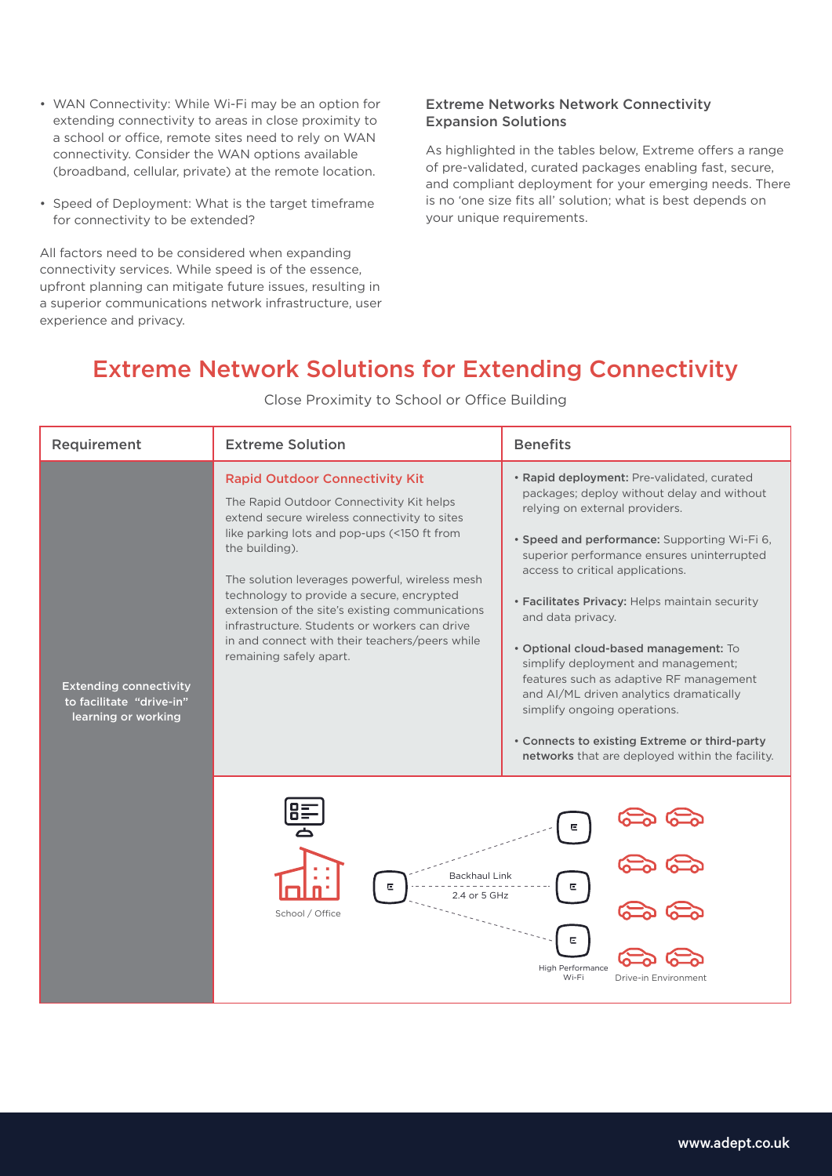- WAN Connectivity: While Wi-Fi may be an option for extending connectivity to areas in close proximity to a school or office, remote sites need to rely on WAN connectivity. Consider the WAN options available (broadband, cellular, private) at the remote location.
- Speed of Deployment: What is the target timeframe for connectivity to be extended?

All factors need to be considered when expanding connectivity services. While speed is of the essence, upfront planning can mitigate future issues, resulting in a superior communications network infrastructure, user experience and privacy.

#### Extreme Networks Network Connectivity Expansion Solutions

As highlighted in the tables below, Extreme offers a range of pre-validated, curated packages enabling fast, secure, and compliant deployment for your emerging needs. There is no 'one size fits all' solution; what is best depends on your unique requirements.

## Extreme Network Solutions for Extending Connectivity

| Requirement                                                                      | <b>Extreme Solution</b>                                                                                                                                                                                                                                                                                                                                                                                                                                                            | <b>Benefits</b>                                                                                                                                                                                                                                                                                                                                                                                                                                                                                                                                                                                                                               |
|----------------------------------------------------------------------------------|------------------------------------------------------------------------------------------------------------------------------------------------------------------------------------------------------------------------------------------------------------------------------------------------------------------------------------------------------------------------------------------------------------------------------------------------------------------------------------|-----------------------------------------------------------------------------------------------------------------------------------------------------------------------------------------------------------------------------------------------------------------------------------------------------------------------------------------------------------------------------------------------------------------------------------------------------------------------------------------------------------------------------------------------------------------------------------------------------------------------------------------------|
| <b>Extending connectivity</b><br>to facilitate "drive-in"<br>learning or working | <b>Rapid Outdoor Connectivity Kit</b><br>The Rapid Outdoor Connectivity Kit helps<br>extend secure wireless connectivity to sites<br>like parking lots and pop-ups (<150 ft from<br>the building).<br>The solution leverages powerful, wireless mesh<br>technology to provide a secure, encrypted<br>extension of the site's existing communications<br>infrastructure. Students or workers can drive<br>in and connect with their teachers/peers while<br>remaining safely apart. | · Rapid deployment: Pre-validated, curated<br>packages; deploy without delay and without<br>relying on external providers.<br>· Speed and performance: Supporting Wi-Fi 6,<br>superior performance ensures uninterrupted<br>access to critical applications.<br>· Facilitates Privacy: Helps maintain security<br>and data privacy.<br>• Optional cloud-based management: To<br>simplify deployment and management;<br>features such as adaptive RF management<br>and AI/ML driven analytics dramatically<br>simplify ongoing operations.<br>• Connects to existing Extreme or third-party<br>networks that are deployed within the facility. |
|                                                                                  | <b>Backhaul Link</b><br>Ε.<br>2.4 or 5 GHz<br>School / Office                                                                                                                                                                                                                                                                                                                                                                                                                      | Е<br>Е<br>叵<br><b>High Performance</b><br>Wi-Fi<br>Drive-in Environment                                                                                                                                                                                                                                                                                                                                                                                                                                                                                                                                                                       |

Close Proximity to School or Office Building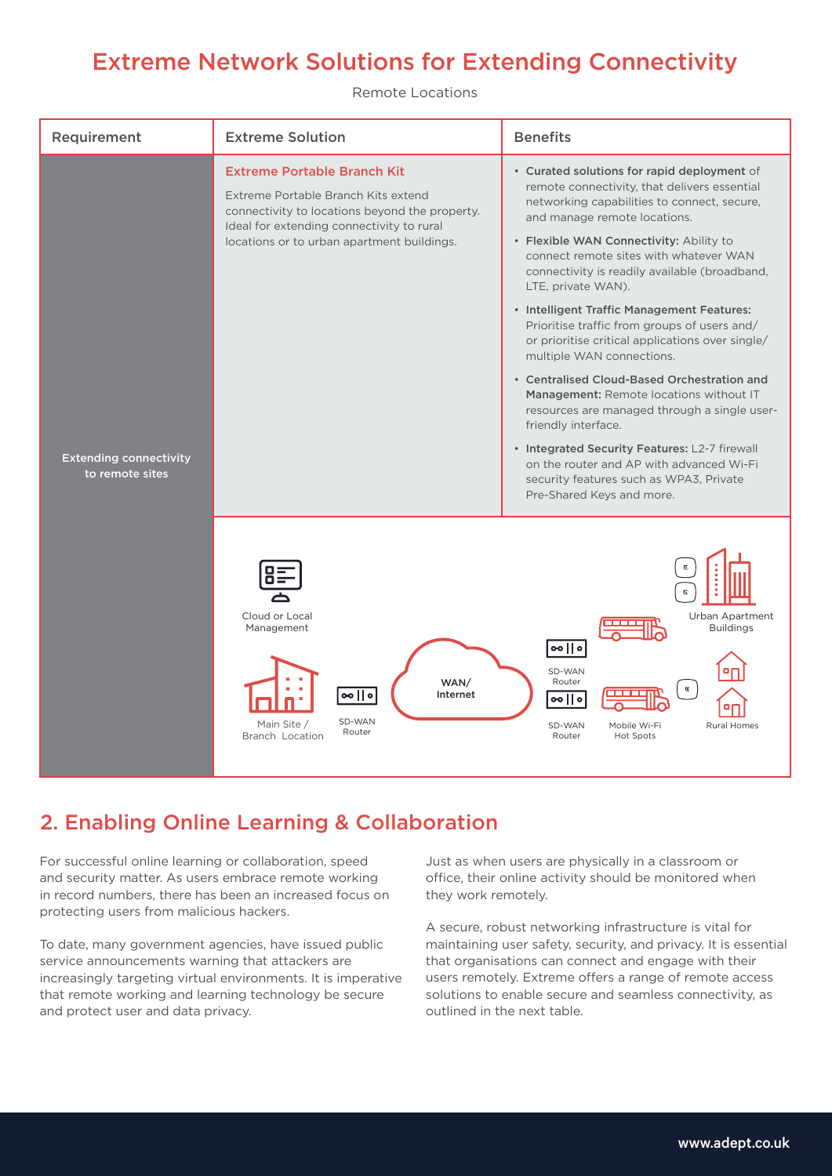## Extreme Network Solutions for Extending Connectivity

Remote Locations

| Requirement                                      | <b>Extreme Solution</b>                                                                                                                                                                                                | <b>Benefits</b>                                                                                                                                                                                                                                                                                                                                                                                                                                                                                                                                                                                                                                                                                                                                                                                                                                             |
|--------------------------------------------------|------------------------------------------------------------------------------------------------------------------------------------------------------------------------------------------------------------------------|-------------------------------------------------------------------------------------------------------------------------------------------------------------------------------------------------------------------------------------------------------------------------------------------------------------------------------------------------------------------------------------------------------------------------------------------------------------------------------------------------------------------------------------------------------------------------------------------------------------------------------------------------------------------------------------------------------------------------------------------------------------------------------------------------------------------------------------------------------------|
| <b>Extending connectivity</b><br>to remote sites | <b>Extreme Portable Branch Kit</b><br>Extreme Portable Branch Kits extend<br>connectivity to locations beyond the property.<br>Ideal for extending connectivity to rural<br>locations or to urban apartment buildings. | • Curated solutions for rapid deployment of<br>remote connectivity, that delivers essential<br>networking capabilities to connect, secure,<br>and manage remote locations.<br>• Flexible WAN Connectivity: Ability to<br>connect remote sites with whatever WAN<br>connectivity is readily available (broadband,<br>LTE, private WAN).<br>• Intelligent Traffic Management Features:<br>Prioritise traffic from groups of users and/<br>or prioritise critical applications over single/<br>multiple WAN connections.<br>• Centralised Cloud-Based Orchestration and<br>Management: Remote locations without IT<br>resources are managed through a single user-<br>friendly interface.<br>• Integrated Security Features: L2-7 firewall<br>on the router and AP with advanced Wi-Fi<br>security features such as WPA3, Private<br>Pre-Shared Keys and more. |
|                                                  | Cloud or Local<br>Management<br>WAN/<br>$\infty$    o<br>Internet<br>SD-WAN<br>Main Site /<br>Router<br><b>Branch Location</b>                                                                                         | Urban Apartment<br><b>Buildings</b><br>$oo$   o<br>SD-WAN<br>o٢<br>Router<br>$\equiv$<br>oo    o<br>SD-WAN<br>Mobile Wi-Fi<br>Rural Homes<br>Router<br>Hot Spots                                                                                                                                                                                                                                                                                                                                                                                                                                                                                                                                                                                                                                                                                            |

## 2. Enabling Online Learning & Collaboration

For successful online learning or collaboration, speed and security matter. As users embrace remote working in record numbers, there has been an increased focus on protecting users from malicious hackers.

To date, many government agencies, have issued public service announcements warning that attackers are increasingly targeting virtual environments. It is imperative that remote working and learning technology be secure and protect user and data privacy.

Just as when users are physically in a classroom or office, their online activity should be monitored when they work remotely.

A secure, robust networking infrastructure is vital for maintaining user safety, security, and privacy. It is essential that organisations can connect and engage with their users remotely. Extreme offers a range of remote access solutions to enable secure and seamless connectivity, as outlined in the next table.

3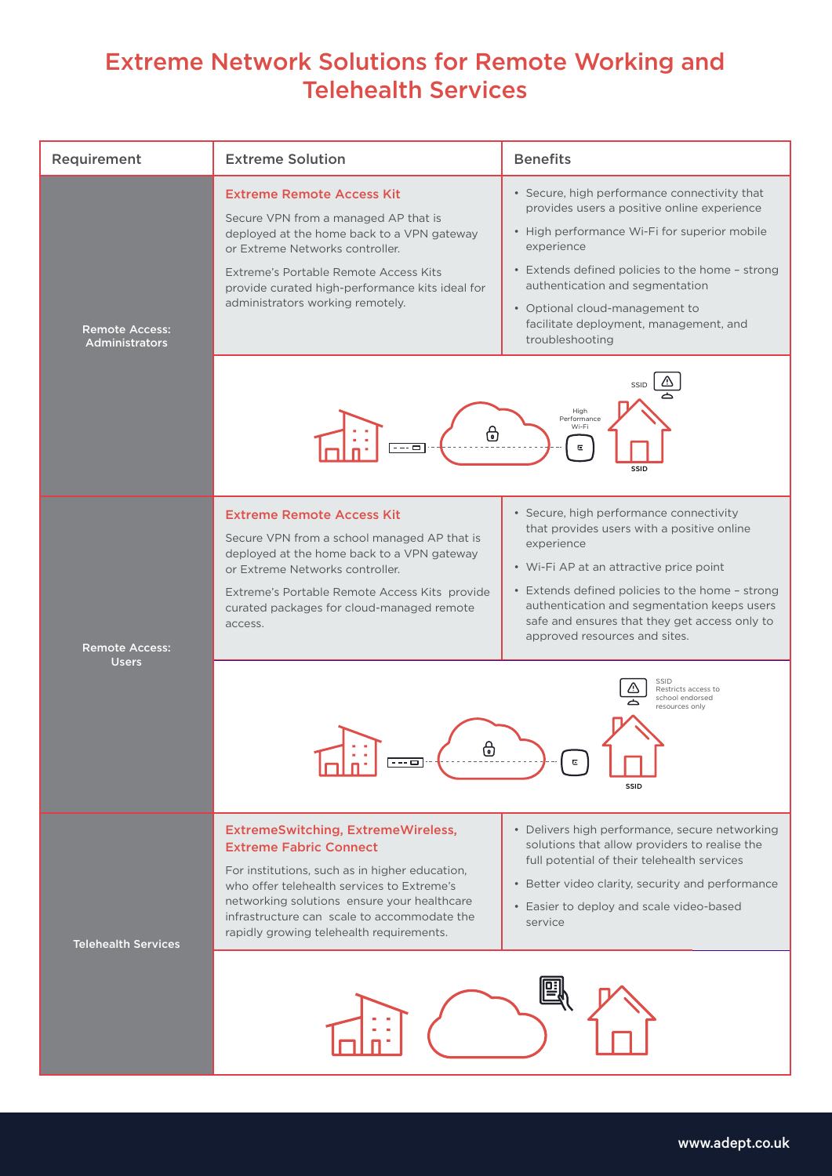## Extreme Network Solutions for Remote Working and Telehealth Services